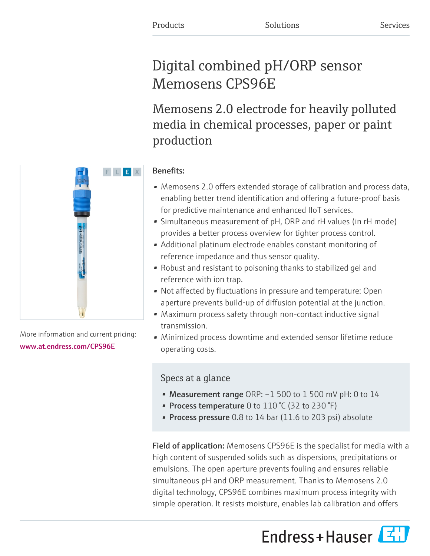# Digital combined pH/ORP sensor Memosens CPS96E

Memosens 2.0 electrode for heavily polluted media in chemical processes, paper or paint production

# Benefits:

- Memosens 2.0 offers extended storage of calibration and process data, enabling better trend identification and offering a future-proof basis for predictive maintenance and enhanced IIoT services.
- Simultaneous measurement of pH, ORP and rH values (in rH mode) provides a better process overview for tighter process control.
- Additional platinum electrode enables constant monitoring of reference impedance and thus sensor quality.
- Robust and resistant to poisoning thanks to stabilized gel and reference with ion trap.
- Not affected by fluctuations in pressure and temperature: Open aperture prevents build-up of diffusion potential at the junction.
- Maximum process safety through non-contact inductive signal transmission.
- Minimized process downtime and extended sensor lifetime reduce operating costs.

# Specs at a glance

- Measurement range ORP: -1 500 to 1 500 mV pH: 0 to 14
- Process temperature 0 to  $110\text{ °C}$  (32 to 230  $\text{°F}$ )
- **Process pressure** 0.8 to 14 bar  $(11.6 \text{ to } 203 \text{ psi})$  absolute

Field of application: Memosens CPS96E is the specialist for media with a high content of suspended solids such as dispersions, precipitations or emulsions. The open aperture prevents fouling and ensures reliable simultaneous pH and ORP measurement. Thanks to Memosens 2.0 digital technology, CPS96E combines maximum process integrity with simple operation. It resists moisture, enables lab calibration and offers

Endress+Hauser



More information and current pricing: [www.at.endress.com/CPS96E](https://www.at.endress.com/CPS96E)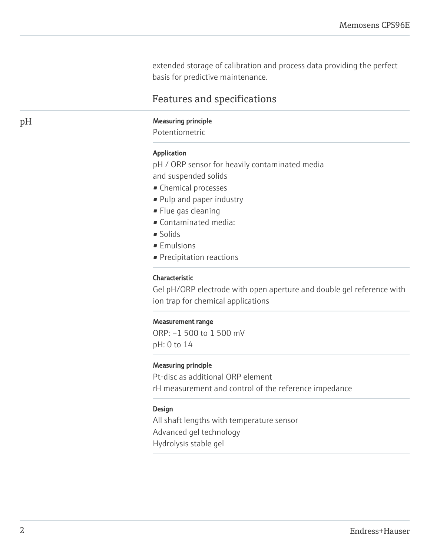extended storage of calibration and process data providing the perfect basis for predictive maintenance.

# Features and specifications

# pH Measuring principle

Potentiometric

#### Application

pH / ORP sensor for heavily contaminated media and suspended solids

- Chemical processes
- Pulp and paper industry
- Flue gas cleaning
- Contaminated media:
- Solids
- Emulsions
- Precipitation reactions

#### Characteristic

Gel pH/ORP electrode with open aperture and double gel reference with ion trap for chemical applications

#### Measurement range

ORP: –1 500 to 1 500 mV pH: 0 to 14

#### Measuring principle

Pt-disc as additional ORP element rH measurement and control of the reference impedance

#### Design

All shaft lengths with temperature sensor Advanced gel technology Hydrolysis stable gel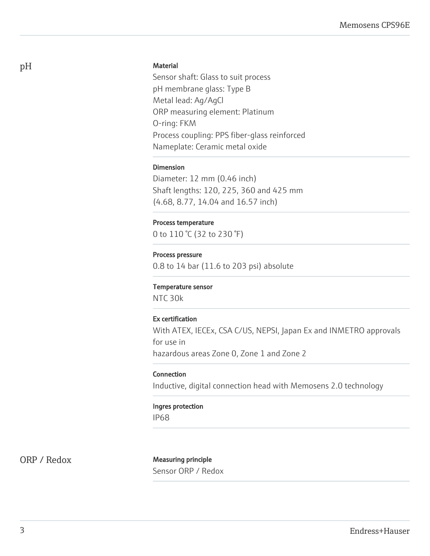### **Material**

Sensor shaft: Glass to suit process pH membrane glass: Type B Metal lead: Ag/AgCl ORP measuring element: Platinum O-ring: FKM Process coupling: PPS fiber-glass reinforced Nameplate: Ceramic metal oxide

### Dimension

Diameter: 12 mm (0.46 inch) Shaft lengths: 120, 225, 360 and 425 mm (4.68, 8.77, 14.04 and 16.57 inch)

### Process temperature

0 to 110 °C (32 to 230 °F)

### Process pressure

0.8 to 14 bar (11.6 to 203 psi) absolute

### Temperature sensor

NTC 30k

# Ex certification

With ATEX, IECEx, CSA C/US, NEPSI, Japan Ex and INMETRO approvals for use in hazardous areas Zone 0, Zone 1 and Zone 2

### Connection

Inductive, digital connection head with Memosens 2.0 technology

# Ingres protection

IP68

ORP / Redox Measuring principle Sensor ORP / Redox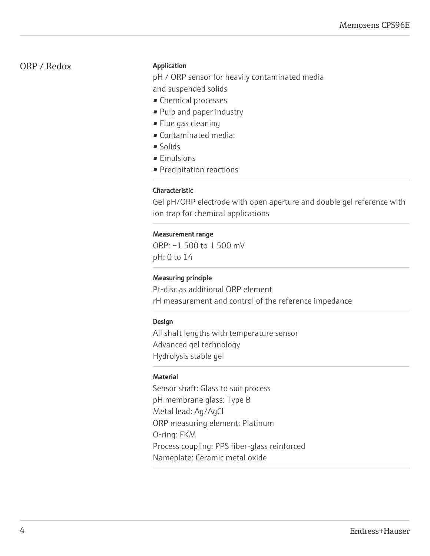# ORP / Redox

### Application

pH / ORP sensor for heavily contaminated media and suspended solids

- Chemical processes
- Pulp and paper industry
- Flue gas cleaning
- Contaminated media:
- Solids
- Emulsions
- Precipitation reactions

# Characteristic

Gel pH/ORP electrode with open aperture and double gel reference with ion trap for chemical applications

# Measurement range

ORP: –1 500 to 1 500 mV pH: 0 to 14

# Measuring principle

Pt-disc as additional ORP element rH measurement and control of the reference impedance

# Design

All shaft lengths with temperature sensor Advanced gel technology Hydrolysis stable gel

# Material

Sensor shaft: Glass to suit process pH membrane glass: Type B Metal lead: Ag/AgCl ORP measuring element: Platinum O-ring: FKM Process coupling: PPS fiber-glass reinforced Nameplate: Ceramic metal oxide